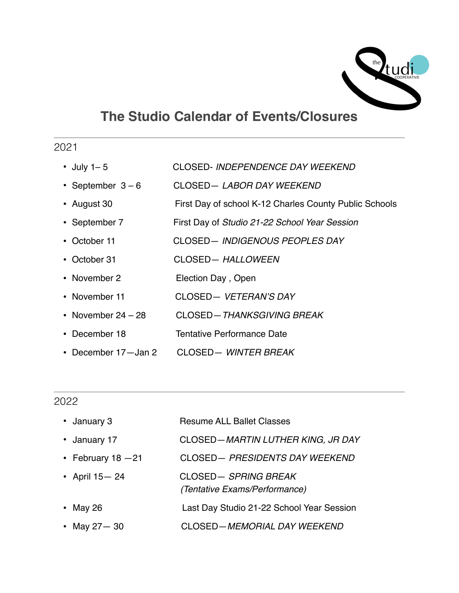

## **The Studio Calendar of Events/Closures**

## 2021

- July 1– 5 CLOSED- *INDEPENDENCE DAY WEEKEND*
- September 3 6 CLOSED— *LABOR DAY WEEKEND*
- August 30 First Day of school K-12 Charles County Public Schools
- September 7 First Day of *Studio 21-22 School Year Session*
- October 11 CLOSED— *INDIGENOUS PEOPLES DAY*
- October 31 CLOSED— *HALLOWEEN*
- November 2 **Election Day**, Open
- November 11 CLOSED— *VETERAN'S DAY*
- November 24 28 CLOSED—*THANKSGIVING BREAK*
- December 18 Tentative Performance Date
- December 17—Jan 2 CLOSED— *WINTER BREAK*

## 2022

| • January 3          | <b>Resume ALL Ballet Classes</b>                     |
|----------------------|------------------------------------------------------|
| • January 17         | CLOSED-MARTIN LUTHER KING, JR DAY                    |
| • February $18 - 21$ | CLOSED- PRESIDENTS DAY WEEKEND                       |
| • April 15 - 24      | CLOSED-SPRING BREAK<br>(Tentative Exams/Performance) |
| • May 26             | Last Day Studio 21-22 School Year Session            |
| • May $27 - 30$      | CLOSED-MEMORIAL DAY WEEKEND                          |